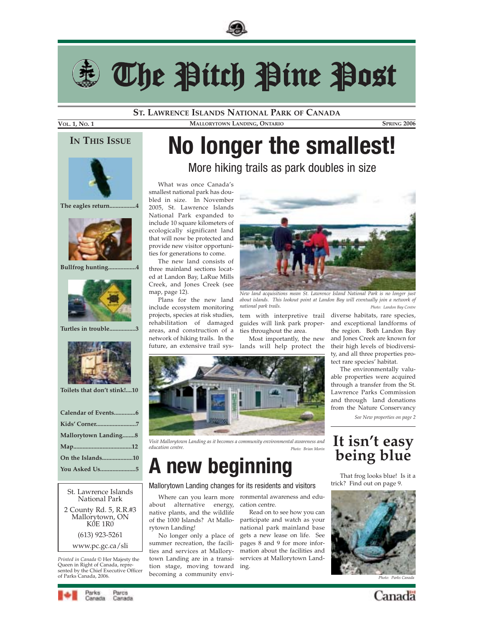



The Pitch Pine Post

**ST. LAWRENCE ISLANDS NATIONAL PARK OF CANADA**

### **VOL. 1, NO. 1 MALLORYTOWN LANDING, ONTARIO SPRING 2006**

What was once Canada's smallest national park has doubled in size. In November 2005, St. Lawrence Islands National Park expanded to include 10 square kilometers of ecologically significant land that will now be protected and provide new visitor opportunities for generations to come. The new land consists of three mainland sections located at Landon Bay, LaRue Mills Creek, and Jones Creek (see

Plans for the new land include ecosystem monitoring projects, species at risk studies, rehabilitation of damaged areas, and construction of a network of hiking trails. In the future, an extensive trail sys-

map, page 12).

**IN THIS ISSUE**

# **No longer the smallest!**

More hiking trails as park doubles in size



**The eagles return.................4**



**Bullfrog hunting..................4** 



**Turtles in trouble.................3**



**Toilets that don't stink!....10** 

| Calendar of Events6  |
|----------------------|
|                      |
| Mallorytown Landing8 |
|                      |
| On the Islands10     |
| You Asked Us5        |
|                      |

St. Lawrence Islands National Park 2 County Rd. 5, R.R.#3 Mallorytown, ON KŐE 1R0 (613) 923-5261 www.pc.gc.ca/sli

*Printed in Canada ©* Her Majesty the Queen in Right of Canada, represented by the Chief Executive Officer<br>of Parks Canada. 2006.



*New land acquisitions mean St. Lawrence Island National Park is no longer just about islands. This lookout point at Landon Bay will eventually join a network of national park trails. Photo: Landon Bay Centre*

guides will link park properties throughout the area.

Most importantly, the new lands will help protect the



*Visit Mallorytown Landing as it becomes a community environmental awareness and education centre. Photo: Brian Morin*

# **A new beginning**

### Mallorytown Landing changes for its residents and visitors

about alternative energy, native plants, and the wildlife of the 1000 Islands? At Mallo-participate and watch as your rytown Landing!

No longer only a place of summer recreation, the facilities and services at Mallorytown Landing are in a transition stage, moving toward

Where can you learn more ronmental awareness and education centre.

> Read on to see how you can national park mainland base gets a new lease on life. See pages 8 and 9 for more information about the facilities and services at Mallorytown Landing.

tem with interpretive trail diverse habitats, rare species, and exceptional landforms of the region. Both Landon Bay and Jones Creek are known for their high levels of biodiversity, and all three properties protect rare species' habitat.

The environmentally valuable properties were acquired through a transfer from the St. Lawrence Parks Commission and through land donations from the Nature Conservancy

*See New properties on page 2*

# **It isn't easy being blue**

That frog looks blue! Is it a trick? Find out on page 9.





Parks Parce Canada Canada

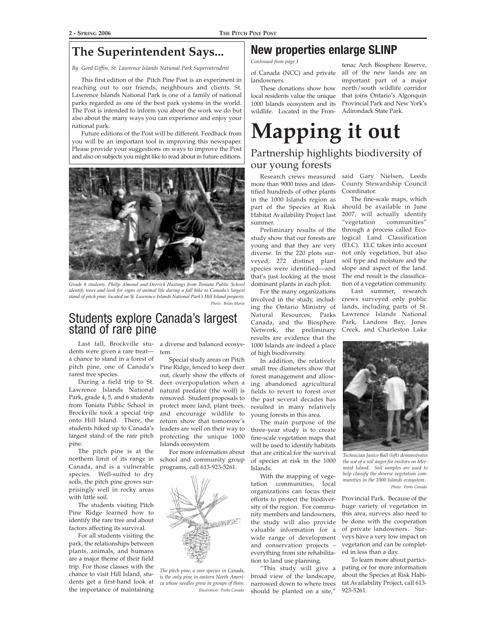# **The Superintendent Says...**

*By Gord Giffin, St. Lawrence Islands National Park Superintendent*

This first edition of the Pitch Pine Post is an experiment in reaching out to our friends, neighbours and clients. St. Lawrence Islands National Park is one of a family of national parks regarded as one of the best park systems in the world. The Post is intended to inform you about the work we do but also about the many ways you can experience and enjoy your national park.

Future editions of the Post will be different. Feedback from you will be an important tool in improving this newspaper. Please provide your suggestions on ways to improve the Post and also on subjects you might like to read about in future editions.



*Grade 6 students, Philip Almond and Derrick Hastings from Toniata Public School identify trees and look for signs of animal life during a fall hike to Canada's largest stand of pitch pine, located on St. Lawrence Islands National Park's Hill Island property. Photo: Brian Morin*

## Students explore Canada's largest stand of rare pine

dents were given a rare treat a chance to stand in a forest of pitch pine, one of Canada's rarest tree species.

During a field trip to St. Lawrence Islands National Park, grade 4, 5, and 6 students from Toniata Public School in Brockville took a special trip onto Hill Island. There, the students hiked up to Canada's largest stand of the rare pitch pine.

The pitch pine is at the northern limit of its range in Canada, and is a vulnerable species. Well-suited to dry soils, the pitch pine grows surprisingly well in rocky areas with little soil.

The students visiting Pitch Pine Ridge learned how to identify the rare tree and about factors affecting its survival.

For all students visiting the park, the relationships between plants, animals, and humans are a major theme of their field trip. For those classes with the chance to visit Hill Island, students get a first-hand look at the importance of maintaining

Last fall, Brockville stu-a diverse and balanced ecosystem.

> Special study areas on Pitch Pine Ridge, fenced to keep deer out, clearly show the effects of deer overpopulation when a natural predator (the wolf) is removed. Student proposals to protect more land, plant trees, and encourage wildlife to return show that tomorrow's leaders are well on their way to protecting the unique 1000 Islands ecosystem.

For more information about school and community group programs, call 613-923-5261.



*The pitch pine, a rare species in Canada, is the only pine in eastern North America whose needles grow in groups of three. Illustration: Parks Canada*

## **New properties enlarge SLINP**

of Canada (NCC) and private *Continued from page 1*

landowners. These donations show how local residents value the unique 1000 Islands ecosystem and its wildlife. Located in the Fron-

tenac Arch Biosphere Reserve, all of the new lands are an important part of a major north/south wildlife corridor that joins Ontario's Algonquin Provincial Park and New York's Adirondack State Park.

# **Mapping it out** Partnership highlights biodiversity of our young forests

Research crews measured more than 9000 trees and identified hundreds of other plants in the 1000 Islands region as part of the Species at Risk Habitat Availability Project last summer.

Preliminary results of the study show that our forests are young and that they are very diverse. In the 220 plots surveyed, 272 distinct plant species were identified—and that's just looking at the most dominant plants in each plot.

For the many organizations involved in the study, including the Ontario Ministry of Natural Resources, Parks Canada, and the Biosphere Network, the preliminary results are evidence that the 1000 Islands are indeed a place of high biodiversity.

In addition, the relatively small tree diameters show that forest management and allowing abandoned agricultural fields to revert to forest over the past several decades has resulted in many relatively young forests in this area.

The main purpose of the three-year study is to create fine-scale vegetation maps that will be used to identify habitats that are critical for the survival of species at risk in the 1000 Islands.

With the mapping of vegetation communities, local organizations can focus their efforts to protect the biodiversity of the region. For community members and landowners, the study will also provide valuable information for a wide range of development and conservation projects – everything from site rehabilitation to land use planning.

"This study will give a broad view of the landscape, narrowed down to where trees should be planted on a site,"

said Gary Nielsen, Leeds County Stewardship Council Coordinator.

The fine-scale maps, which should be available in June 2007, will actually identify "vegetation communities" through a process called Ecological Land Classification (ELC). ELC takes into account not only vegetation, but also soil type and moisture and the slope and aspect of the land. The end result is the classification of a vegetation community.

Last summer, research crews surveyed only public lands, including parts of St. Lawrence Islands National Park, Landons Bay, Jones Creek, and Charleston Lake



*Technician Janice Ball (left) demonstrates the use of a soil auger for visitors on Mermaid Island. Soil samples are used to help classify the diverse vegetation communities in the 1000 Islands ecosystem. Photo: Parks Canada*

Provincial Park. Because of the huge variety of vegetation in this area, surveys also need to be done with the cooperation of private landowners. Surveys have a very low impact on vegetation and can be completed in less than a day.

To learn more about participating or for more information about the Species at Risk Habitat Availability Project, call 613- 923-5261.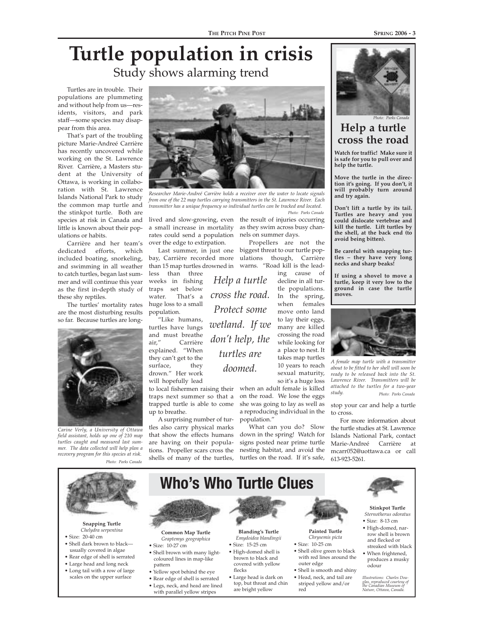# **Turtle population in crisis** Study shows alarming trend

Turtles are in trouble. Their populations are plummeting and without help from us—residents, visitors, and park staff—some species may disappear from this area.

That's part of the troubling picture Marie-Andreé Carrière has recently uncovered while working on the St. Lawrence River. Carrière, a Masters student at the University of Ottawa, is working in collaboration with St. Lawrence Islands National Park to study the common map turtle and the stinkpot turtle. Both are species at risk in Canada and little is known about their populations or habits.

Carrière and her team's dedicated efforts, which included boating, snorkeling, and swimming in all weather to catch turtles, began last summer and will continue this year as the first in-depth study of these shy reptiles.

The turtles' mortality rates are the most disturbing results so far. Because turtles are long-



*Carine Verly, a University of Ottawa field assistant, holds up one of 210 map turtles caught and measured last summer. The data collected will help plan a recovery program for this species at risk. Photo: Parks Canada*



*Researcher Marie-Andreé Carrière holds a receiver over the water to locate signals from one of the 22 map turtles carrying transmitters in the St. Lawrence River. Each transmitter has a unique frequency so individual turtles can be tracked and located.*

lived and slow-growing, even the result of injuries occurring a small increase in mortality as they swim across busy chanrates could send a population nels on summer days. over the edge to extirpation.

Last summer, in just one bay, Carrière recorded more ulations though, Carrière than 15 map turtles drowned in warns. "Road kill is the leadless than three weeks in fishing

traps set below<br>water. That's a That's a huge loss to a small population. "Like humans,

turtles have lungs and must breathe air," Carrière explained. "When they can't get to the surface, they drown." Her work will hopefully lead

to local fishermen raising their traps next summer so that a trapped turtle is able to come up to breathe.

A surprising number of turtles also carry physical marks that show the effects humans are having on their populations. Propeller scars cross the shells of many of the turtles, *Photo: Parks Canada*

Propellers are not the biggest threat to our turtle pop-

when an adult female is killed on the road. We lose the eggs she was going to lay as well as a reproducing individual in the

What can you do? Slow down in the spring! Watch for signs posted near prime turtle nesting habitat, and avoid the turtles on the road. If it's safe,

ing cause of decline in all turtle populations. In the spring, when females move onto land to lay their eggs, many are killed crossing the road while looking for a place to nest. It takes map turtles 10 years to reach sexual maturity, so it's a huge loss *Help a turtle cross the road. Protect some wetland. If we don't help, the turtles are doomed.*

population."

## **Help a turtle cross the road**

**Watch for traffic! Make sure it is safe for you to pull over and help the turtle.**

**Move the turtle in the direction it's going. If you don't, it will probably turn around and try again.**

**Don't lift a turtle by its tail. Turtles are heavy and you could dislocate vertebrae and kill the turtle. Lift turtles by the shell, at the back end (to avoid being bitten).**

**Be careful with snapping turtles – they have very long necks and sharp beaks!**

**If using a shovel to move a turtle, keep it very low to the ground in case the turtle moves.**



*A female map turtle with a transmitter about to be fitted to her shell will soon be ready to be released back into the St. Lawrence River. Transmitters will be attached to the turtles for a two-year study. Photo: Parks Canada*

### stop your car and help a turtle to cross.

For more information about the turtle studies at St. Lawrence Islands National Park, contact Marie-Andreé Carrière at mcarr052@uottawa.ca or call 613-923-5261.



*Photo: Parks Canada*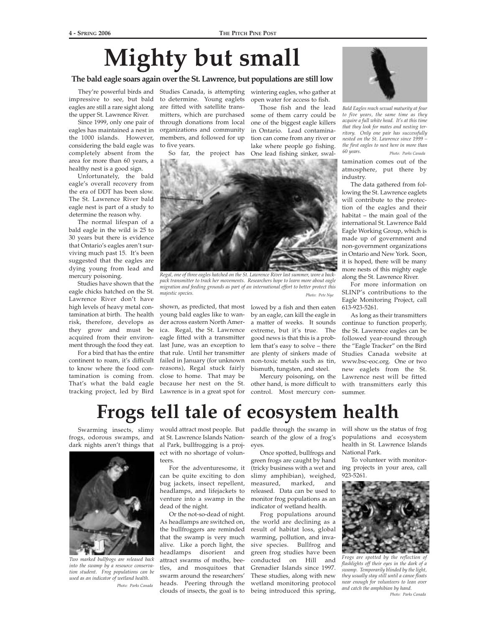# **Mighty but small**

### **The bald eagle soars again over the St. Lawrence, but populations are still low**

They're powerful birds and impressive to see, but bald eagles are still a rare sight along the upper St. Lawrence River.

Since 1999, only one pair of eagles has maintained a nest in the 1000 islands. However, considering the bald eagle was completely absent from the area for more than 60 years, a healthy nest is a good sign.

Unfortunately, the bald eagle's overall recovery from the era of DDT has been slow. The St. Lawrence River bald eagle nest is part of a study to determine the reason why.

The normal lifespan of a bald eagle in the wild is 25 to 30 years but there is evidence that Ontario's eagles aren't surviving much past 15. It's been suggested that the eagles are dying young from lead and mercury poisoning.

Studies have shown that the eagle chicks hatched on the St. Lawrence River don't have high levels of heavy metal contamination at birth. The health risk, therefore, develops as they grow and must be acquired from their environment through the food they eat.

For a bird that has the entire continent to roam, it's difficult to know where the food contamination is coming from. That's what the bald eagle tracking project, led by Bird Lawrence is in a great spot for

Studies Canada, is attempting to determine. Young eaglets are fitted with satellite transmitters, which are purchased through donations from local organizations and community members, and followed for up to five years.

So far, the project has One lead fishing sinker, swal-

wintering eagles, who gather at open water for access to fish.

Those fish and the lead some of them carry could be one of the biggest eagle killers in Ontario. Lead contamination can come from any river or lake where people go fishing.

*Regal, one of three eagles hatched on the St. Lawrence River last summer, wore a backpack transmitter to track her movements. Researchers hope to learn more about eagle migration and feeding grounds as part of an international effort to better protect this majestic species. Photo: Pete Nye*

shown, as predicted, that most young bald eagles like to wander across eastern North America. Regal, the St. Lawrence eagle fitted with a transmitter last June, was an exception to that rule. Until her transmitter failed in January (for unknown reasons), Regal stuck fairly close to home. That may be because her nest on the St.

lowed by a fish and then eaten by an eagle, can kill the eagle in a matter of weeks. It sounds extreme, but it's true. The good news is that this is a problem that's easy to solve – there are plenty of sinkers made of non-toxic metals such as tin, bismuth, tungsten, and steel.

Mercury poisoning, on the other hand, is more difficult to control. Most mercury con-



*Bald Eagles reach sexual maturity at four to five years, the same time as they acquire a full white head. It's at this time that they look for mates and nesting territory. Only one pair has successfully nested on the St. Lawrence since 1999 – the first eagles to nest here in more than 60 years. Photo: Parks Canada*

tamination comes out of the atmosphere, put there by industry.

The data gathered from following the St. Lawrence eaglets will contribute to the protection of the eagles and their habitat – the main goal of the international St. Lawrence Bald Eagle Working Group, which is made up of government and non-government organizations in Ontario and New York. Soon, it is hoped, there will be many more nests of this mighty eagle along the St. Lawrence River.

For more information on SLINP's contributions to the Eagle Monitoring Project, call 613-923-5261.

As long as their transmitters continue to function properly, the St. Lawrence eagles can be followed year-round through the "Eagle Tracker" on the Bird Studies Canada website at www.bsc-eoc.org. One or two new eaglets from the St. Lawrence nest will be fitted with transmitters early this summer.

# **Frogs tell tale of ecosystem health**



*Two marked bullfrogs are released back into the swamp by a resource conservation student. Frog populations can be used as an indicator of wetland health. Photo: Parks Canada*

frogs, odorous swamps, and at St. Lawrence Islands Nationdark nights aren't things that al Park, bullfrogging is a project with no shortage of volunteers.

> For the adventuresome, it can be quite exciting to don bug jackets, insect repellent, headlamps, and lifejackets to venture into a swamp in the dead of the night.

Or the not-so-dead of night. As headlamps are switched on, the bullfroggers are reminded that the swamp is very much alive. Like a porch light, the headlamps disorient and attract swarms of moths, beetles, and mosquitoes that swarm around the researchers' heads. Peering through the clouds of insects, the goal is to

Swarming insects, slimy would attract most people. But paddle through the swamp in search of the glow of a frog's eyes.

> Once spotted, bullfrogs and green frogs are caught by hand (tricky business with a wet and slimy amphibian), weighed, measured, marked, and released. Data can be used to monitor frog populations as an indicator of wetland health.

> Frog populations around the world are declining as a result of habitat loss, global warming, pollution, and invasive species. Bullfrog and green frog studies have been conducted on Hill and Grenadier Islands since 1997. These studies, along with new wetland monitoring protocol being introduced this spring,

will show us the status of frog populations and ecosystem health in St. Lawrence Islands National Park.

To volunteer with monitoring projects in your area, call 923-5261.



*Frogs are spotted by the reflection of flashlights off their eyes in the dark of a swamp. Temporarily blinded by the light, they usually stay still until a canoe floats near enough for volunteers to lean over and catch the amphibian by hand. Photo: Parks Canada*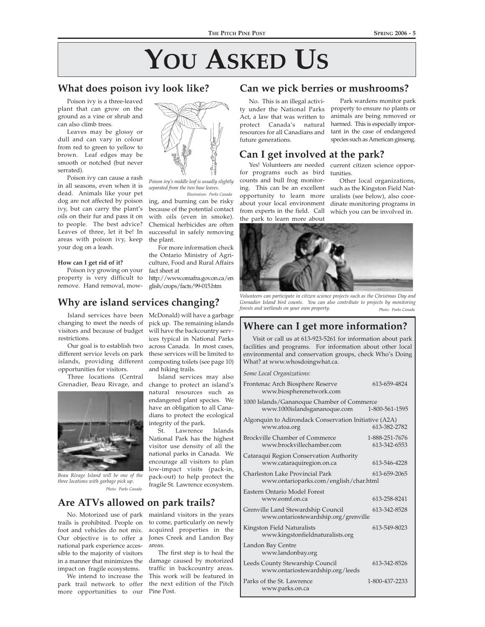### **What does poison ivy look like?**

Poison ivy is a three-leaved plant that can grow on the ground as a vine or shrub and can also climb trees.

Leaves may be glossy or dull and can vary in colour from red to green to yellow to brown. Leaf edges may be smooth or notched (but never serrated).

Poison ivy can cause a rash in all seasons, even when it is dead. Animals like your pet dog are not affected by poison ivy, but can carry the plant's oils on their fur and pass it on to people. The best advice? Leaves of three, let it be! In areas with poison ivy, keep your dog on a leash.

**How can I get rid of it?**

opportunities for visitors. Three locations (Central Grenadier, Beau Rivage, and

restrictions.

Poison ivy growing on your

property is very difficult to remove. Hand removal, mowhttp://www.omafra.gov.on.ca/en

Island services have been McDonald) will have a garbage changing to meet the needs of visitors and because of budget Our goal is to establish two different service levels on park islands, providing different pick up. The remaining islands will have the backcountry services typical in National Parks across Canada. In most cases, these services will be limited to composting toilets (see page 10)

the plant.

fact sheet at

**Why are island services changing?**

and hiking trails. Island services may also change to protect an island's natural resources such as endangered plant species. We have an obligation to all Canadians to protect the ecological

integrity of the park. Lawrence Islands National Park has the highest visitor use density of all the national parks in Canada. We encourage all visitors to plan low-impact visits (pack-in, pack-out) to help protect the fragile St. Lawrence ecosystem.

# **Are ATVs allowed on park trails?**

*Photo: Parks Canada*

No. Motorized use of park trails is prohibited. People on foot and vehicles do not mix. Our objective is to offer a national park experience accessible to the majority of visitors in a manner that minimizes the damage caused by motorized impact on fragile ecosystems.

*Beau Rivage Island will be one of the three locations with garbage pick up.*

We intend to increase the park trail network to offer more opportunities to our Pine Post.

### mainland visitors in the years to come, particularly on newly acquired properties in the Jones Creek and Landon Bay areas.

The first step is to heal the traffic in backcountry areas. This work will be featured in the next edition of the Pitch

### **Can we pick berries or mushrooms?**

No. This is an illegal activity under the National Parks Act, a law that was written to protect Canada's natural harmed. This is especially imporresources for all Canadians and tant in the case of endangered future generations.

### **Can I get involved at the park?**

for programs such as bird tunities. counts and bull frog monitoring. This can be an excellent opportunity to learn more

the park to learn more about

Yes! Volunteers are needed current citizen science oppor-

species such as American ginseng.

Park wardens monitor park property to ensure no plants or animals are being removed or

about your local environment dinate monitoring programs in from experts in the field. Call which you can be involved in. Other local organizations, such as the Kingston Field Naturalists (see below), also coor-



*Grenadier Island bird counts. You can also contribute to projects by monitoring forests and wetlands on your own property. Photo: Parks Canada*

## **Where can I get more information?**

Visit or call us at 613-923-5261 for information about park facilities and programs. For information about other local environmental and conservation groups, check Who's Doing What? at www.whosdoingwhat.ca.

*Some Local Organizations:*

| Frontenac Arch Biosphere Reserve<br>www.biospherenetwork.com                              | 613-659-4824                   |  |  |  |  |
|-------------------------------------------------------------------------------------------|--------------------------------|--|--|--|--|
| 1000 Islands/Gananoque Chamber of Commerce<br>www.1000islandsgananoque.com                | 1-800-561-1595                 |  |  |  |  |
| Algonquin to Adirondack Conservation Initiative (A2A)<br>www.atoa.org                     | 613-382-2782                   |  |  |  |  |
| <b>Brockville Chamber of Commerce</b><br>www.brockvillechamber.com                        | 1-888-251-7676<br>613-342-6553 |  |  |  |  |
| Cataraqui Region Conservation Authority<br>www.cataraquiregion.on.ca                      | 613-546-4228                   |  |  |  |  |
| Charleston Lake Provincial Park<br>613-659-2065<br>www.ontarioparks.com/english/char.html |                                |  |  |  |  |
| Eastern Ontario Model Forest<br>www.eomf.on.ca                                            | 613-258-8241                   |  |  |  |  |
| Grenville Land Stewardship Council<br>www.ontariostewardship.org/grenville                | 613-342-8528                   |  |  |  |  |
| Kingston Field Naturalists<br>www.kingstonfieldnaturalists.org                            | 613-549-8023                   |  |  |  |  |
| Landon Bay Centre<br>www.landonbay.org                                                    |                                |  |  |  |  |
| Leeds County Stewarship Council<br>www.ontariostewardship.org/leeds                       | 613-342-8526                   |  |  |  |  |
| Parks of the St. Lawrence<br>www.parks.on.ca                                              | 1-800-437-2233                 |  |  |  |  |



ing, and burning can be risky because of the potential contact with oils (even in smoke). Chemical herbicides are often successful in safely removing

*Illustration: Parks Canada*

*Poison ivy's middle leaf is usually slightly separated from the two base leaves.*

For more information check the Ontario Ministry of Agriculture, Food and Rural Affairs

glish/crops/facts/99-015.htm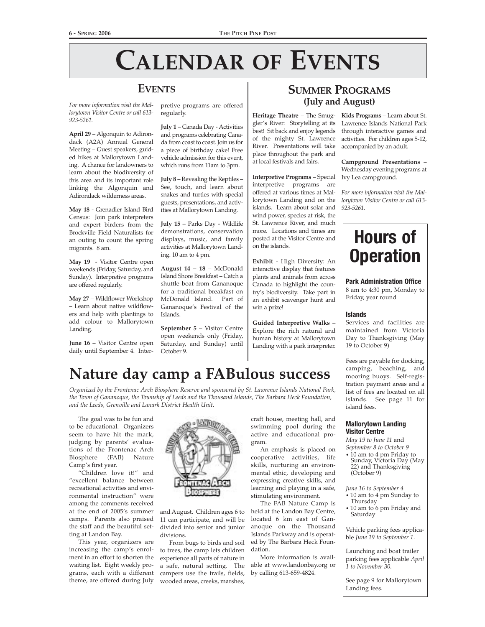# **CALENDAR OF EVENTS**

## **EVENTS**

*For more information visit the Mallorytown Visitor Centre or call 613- 923-5261.*

**April 29** – Algonquin to Adirondack (A2A) Annual General Meeting – Guest speakers, guided hikes at Mallorytown Landing. A chance for landowners to learn about the biodiversity of this area and its important role linking the Algonquin and Adirondack wilderness areas.

**May 18** - Grenadier Island Bird Census: Join park interpreters and expert birders from the Brockville Field Naturalists for an outing to count the spring migrants. 8 am.

**May 19** - Visitor Centre open weekends (Friday, Saturday, and Sunday). Interpretive programs are offered regularly.

**May 27** – Wildflower Workshop – Learn about native wildflowers and help with plantings to add colour to Mallorytown Landing.

**June 16** – Visitor Centre open daily until September 4. Interpretive programs are offered regularly.

**July 1** – Canada Day - Activities and programs celebrating Canada from coast to coast. Join us for a piece of birthday cake! Free vehicle admission for this event, which runs from 11am to 3pm.

**July 8** – Revealing the Reptiles – See, touch, and learn about snakes and turtles with special guests, presentations, and activities at Mallorytown Landing.

**July 15** – Parks Day - Wildlife demonstrations, conservation displays, music, and family activities at Mallorytown Landing. 10 am to 4 pm.

**August 14 – 18** – McDonald Island Shore Breakfast – Catch a shuttle boat from Gananoque for a traditional breakfast on McDonald Island. Part of Gananoque's Festival of the Islands.

**September 5** – Visitor Centre open weekends only (Friday, Saturday, and Sunday) until October 9.

## **SUMMER PROGRAMS (July and August)**

**Heritage Theatre** – The Smug-**Kids Programs** – Learn about St. gler's River: Storytelling at its best! Sit back and enjoy legends of the mighty St. Lawrence River. Presentations will take place throughout the park and at local festivals and fairs.

**Interpretive Programs** – Special interpretive programs are offered at various times at Mallorytown Landing and on the islands. Learn about solar and wind power, species at risk, the St. Lawrence River, and much more. Locations and times are posted at the Visitor Centre and on the islands.

**Exhibit** - High Diversity: An interactive display that features plants and animals from across Canada to highlight the country's biodiversity. Take part in an exhibit scavenger hunt and win a prize!

**Guided Interpretive Walks** – Explore the rich natural and human history at Mallorytown Landing with a park interpreter.

Lawrence Islands National Park through interactive games and activities. For children ages 5-12, accompanied by an adult.

**Campground Presentations** – Wednesday evening programs at Ivy Lea campground.

*For more information visit the Mallorytown Visitor Centre or call 613- 923-5261.*

# **Hours of Operation**

**Park Administration Office** 8 am to 4:30 pm, Monday to Friday, year round

### **Islands**

Services and facilities are maintained from Victoria Day to Thanksgiving (May 19 to October 9)

Fees are payable for docking, camping, beaching, and mooring buoys. Self-registration payment areas and a list of fees are located on all islands. See page 11 for island fees.

### **Mallorytown Landing Visitor Centre**

*May 19 to June 11* and *September 8 to October 9*

• 10 am to 4 pm Friday to Sunday, Victoria Day (May 22) and Thanksgiving (October 9)

*June 16 to September 4*

- 10 am to 4 pm Sunday to Thursday
- 10 am to 6 pm Friday and Saturday

Vehicle parking fees applicable *June 19 to September 1*.

Launching and boat trailer parking fees applicable *April 1 to November 30.*

See page 9 for Mallorytown Landing fees.

# **Nature day camp a FABulous success** *Organized by the Frontenac Arch Biosphere Reserve and sponsored by St. Lawrence Islands National Park,*

*the Town of Gananoque, the Township of Leeds and the Thousand Islands, The Barbara Heck Foundation, and the Leeds, Grenville and Lanark District Health Unit.*

The goal was to be fun and to be educational. Organizers seem to have hit the mark, judging by parents' evaluations of the Frontenac Arch Biosphere (FAB) Nature Camp's first year.

"Children love it!" and "excellent balance between recreational activities and environmental instruction" were among the comments received at the end of 2005's summer camps. Parents also praised the staff and the beautiful setting at Landon Bay.

This year, organizers are increasing the camp's enrolment in an effort to shorten the waiting list. Eight weekly programs, each with a different theme, are offered during July



and August. Children ages 6 to 11 can participate, and will be divided into senior and junior divisions.

From bugs to birds and soil to trees, the camp lets children experience all parts of nature in a safe, natural setting. The campers use the trails, fields, wooded areas, creeks, marshes,

craft house, meeting hall, and swimming pool during the active and educational program.

An emphasis is placed on cooperative activities, life skills, nurturing an environmental ethic, developing and expressing creative skills, and learning and playing in a safe, stimulating environment.

The FAB Nature Camp is held at the Landon Bay Centre, located 6 km east of Gananoque on the Thousand Islands Parkway and is operated by The Barbara Heck Foundation.

More information is available at www.landonbay.org or by calling 613-659-4824.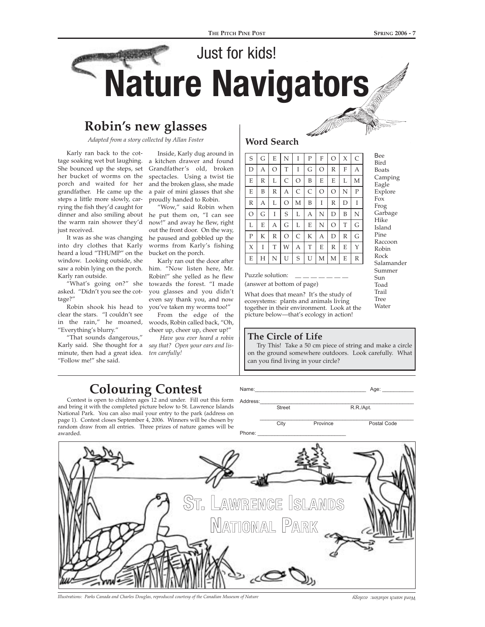Bee Bird Boats Camping Eagle Explore Fox Frog Garbage Hike Island Pine Raccoon Robin Rock Salamander Summer Sun Toad Trail Tree **Water** 

# Just for kids! **Nature Navigators**

# **Robin's new glasses**

*Adapted from a story collected by Allan Foster*

Karly ran back to the cottage soaking wet but laughing. a kitchen drawer and found She bounced up the steps, set her bucket of worms on the porch and waited for her grandfather. He came up the steps a little more slowly, carrying the fish they'd caught for dinner and also smiling about the warm rain shower they'd just received.

It was as she was changing into dry clothes that Karly heard a loud "THUMP" on the bucket on the porch. window. Looking outside, she saw a robin lying on the porch. him. "Now listen here, Mr. Karly ran outside.

"What's going on?" she asked. "Didn't you see the cottage?"

Robin shook his head to clear the stars. "I couldn't see in the rain," he moaned, "Everything's blurry."

"That sounds dangerous," Karly said. She thought for a *say that? Open your ears and lis*minute, then had a great idea. *ten carefully!* "Follow me!" she said.

Inside, Karly dug around in Grandfather's old, broken spectacles. Using a twist tie and the broken glass, she made a pair of mini glasses that she proudly handed to Robin.

"Wow," said Robin when he put them on, "I can see now!" and away he flew, right out the front door. On the way, he paused and gobbled up the worms from Karly's fishing

Karly ran out the door after Robin!" she yelled as he flew towards the forest. "I made you glasses and you didn't even say thank you, and now you've taken my worms too!"

From the edge of the woods, Robin called back, "Oh, cheer up, cheer up, cheer up!"

*Have you ever heard a robin*

# **Colouring Contest**

Contest is open to children ages 12 and under. Fill out this form and bring it with the completed picture below to St. Lawrence Islands National Park. You can also mail your entry to the park (address on page 1). Contest closes September 4, 2006. Winners will be chosen by random draw from all entries. Three prizes of nature games will be awarded.

### **Word Search**

| S            | G | E            | N       | Ι | P | F       | $\circ$ | X | $\mathsf{C}$ |
|--------------|---|--------------|---------|---|---|---------|---------|---|--------------|
| D            | А | O            | T       | Ι | G | O       | R       | F | А            |
| E            | R | L            | C       | O | B | E       | E       | L | М            |
| E            | B | R            | А       | C | C | $\circ$ | $\circ$ | N | P            |
| R            | А | L            | O       | М | B | Ι       | R       | D | Ι            |
| $\circ$      | G | Ι            | S       | L | А | N       | D       | B | N            |
| L            | E | А            | G       | L | E | N       | O       | T | G            |
| $\mathbf{P}$ | К | $\mathbb{R}$ | $\circ$ | C | K | А       | D       | R | G            |
| X            | Ι | T            | W       | А | T | E       | R       | E | Y            |
| E            | Н | N            | U       | S | U | M       | М       | E | R            |

Puzzle solution: (answer at bottom of page)

What does that mean? It's the study of ecosystems: plants and animals living together in their environment. Look at the picture below—that's ecology in action!

### **The Circle of Life**

Try This! Take a 50 cm piece of string and make a circle on the ground somewhere outdoors. Look carefully. What can you find living in your circle?

Name:\_\_\_\_\_\_\_\_\_\_\_\_\_\_\_\_\_\_\_\_\_\_\_\_\_\_\_\_\_\_\_\_\_\_\_\_\_\_\_ Age: \_\_\_\_\_\_\_\_\_\_\_

Address:\_\_\_\_\_\_\_\_\_\_\_\_\_\_\_\_\_\_\_\_\_\_\_\_\_\_\_\_\_\_\_\_\_\_\_\_\_\_\_\_\_\_\_\_\_\_\_\_\_\_\_\_\_\_ Street R.R./Apt.  $\mathcal{L}_\text{max} = \mathcal{L}_\text{max} = \mathcal{L}_\text{max} = \mathcal{L}_\text{max} = \mathcal{L}_\text{max} = \mathcal{L}_\text{max} = \mathcal{L}_\text{max} = \mathcal{L}_\text{max} = \mathcal{L}_\text{max} = \mathcal{L}_\text{max} = \mathcal{L}_\text{max} = \mathcal{L}_\text{max} = \mathcal{L}_\text{max} = \mathcal{L}_\text{max} = \mathcal{L}_\text{max} = \mathcal{L}_\text{max} = \mathcal{L}_\text{max} = \mathcal{L}_\text{max} = \mathcal{$ City Province Postal Code



Phone: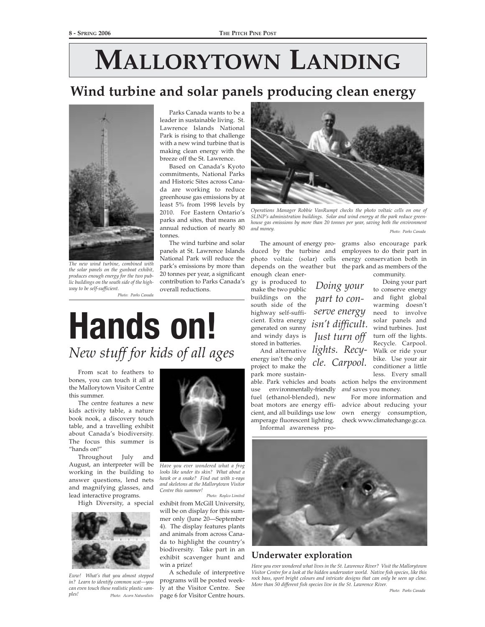# **MALLORYTOWN LANDING**

# **Wind turbine and solar panels producing clean energy**



*The new wind turbine, combined with the solar panels on the gunboat exhibit, produces enough energy for the two public buildings on the south side of the highway to be self-sufficient.*

*Photo: Parks Canada*

Parks Canada wants to be a leader in sustainable living. St. Lawrence Islands National Park is rising to that challenge with a new wind turbine that is making clean energy with the breeze off the St. Lawrence.

Based on Canada's Kyoto commitments, National Parks and Historic Sites across Canada are working to reduce greenhouse gas emissions by at least 5% from 1998 levels by 2010. For Eastern Ontario's parks and sites, that means an annual reduction of nearly 80 tonnes.

The wind turbine and solar panels at St. Lawrence Islands National Park will reduce the park's emissions by more than 20 tonnes per year, a significant contribution to Parks Canada's overall reductions.



*Operations Manager Robbie VanRumpt checks the photo voltaic cells on one of SLINP's administration buildings. Solar and wind energy at the park reduce greenhouse gas emissions by more than 20 tonnes per year, saving both the environment and money. Photo: Parks Canada*

*Doing your*

enough clean ener-

gy is produced to make the two public buildings on the *part to con*south side of the cient. Extra energy generated on sunny *isn't difficult.* and windy days is *Just turn off* stored in batteries.

energy isn't the only energy isn't the only cle. Carpool. park more sustain-

able. Park vehicles and boats action helps the environment use environmentally-friendly fuel (ethanol-blended), new boat motors are energy efficient, and all buildings use low amperage fluorescent lighting.



highway self-suffi- *Serve energy* need to involve And alternative *lights. Recy*- Walk or ride your Doing your part to conserve energy and fight global warming doesn't solar panels and wind turbines. Just turn off the lights. Recycle. Carpool. bike. Use your air conditioner a little less. Every small

> *and* saves you money. For more information and

> advice about reducing your own energy consumption, check www.climatechange.gc.ca.

Informal awareness pro-



### **Underwater exploration**

*Have you ever wondered what lives in the St. Lawrence River? Visit the Mallorytown Visitor Centre for a look at the hidden underwater world. Native fish species, like this rock bass, sport bright colours and intricate designs that can only be seen up close. More than 50 different fish species live in the St. Lawrence River.*

# **Hands on!** *New stuff for kids of all ages*

From scat to feathers to bones, you can touch it all at the Mallorytown Visitor Centre this summer.

The centre features a new kids activity table, a nature book nook, a discovery touch table, and a travelling exhibit about Canada's biodiversity. The focus this summer is "hands on!"

Throughout July and August, an interpreter will be working in the building to answer questions, lend nets and magnifying glasses, and lead interactive programs.

High Diversity, a special



*Eww! What's that you almost stepped in? Learn to identify common scat—you can even touch these realistic plastic samples! Photo: Acorn Naturalists*



*Have you ever wondered what a frog looks like under its skin? What about a hawk or a snake? Find out with x-rays and skeletons at the Mallorytown Visitor Centre this summer!* 

exhibit from McGill University, will be on display for this summer only (June 20—September 4). The display features plants and animals from across Canada to highlight the country's biodiversity. Take part in an exhibit scavenger hunt and win a prize! *Photo: Roylco Limited*

A schedule of interpretive programs will be posted weekly at the Visitor Centre. See page 6 for Visitor Centre hours.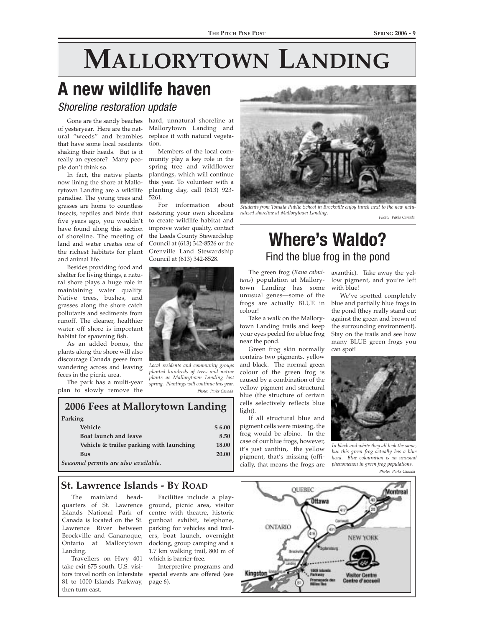# **MALLORYTOWN LANDING**

# **A new wildlife haven**

Shoreline restoration update

Gone are the sandy beaches of yesteryear. Here are the natural "weeds" and brambles that have some local residents shaking their heads. But is it really an eyesore? Many people don't think so.

In fact, the native plants now lining the shore at Mallorytown Landing are a wildlife paradise. The young trees and grasses are home to countless insects, reptiles and birds that five years ago, you wouldn't have found along this section of shoreline. The meeting of land and water creates one of the richest habitats for plant and animal life.

Besides providing food and shelter for living things, a natural shore plays a huge role in maintaining water quality. Native trees, bushes, and grasses along the shore catch pollutants and sediments from runoff. The cleaner, healthier water off shore is important habitat for spawning fish.

As an added bonus, the plants along the shore will also discourage Canada geese from wandering across and leaving feces in the picnic area.

The park has a multi-year plan to slowly remove the

hard, unnatural shoreline at Mallorytown Landing and replace it with natural vegetation.

Members of the local community play a key role in the spring tree and wildflower plantings, which will continue this year. To volunteer with a planting day, call (613) 923- 5261.<br>For

information about restoring your own shoreline to create wildlife habitat and improve water quality, contact the Leeds County Stewardship Council at (613) 342-8526 or the Grenville Land Stewardship Council at (613) 342-8528.



*Local residents and community groups planted hundreds of trees and native plants at Mallorytown Landing last spring. Plantings will continue this year. Photo: Parks Canada*

### **2006 Fees at Mallorytown Landing Parking Vehicle** \$ 6.00 **Boat launch and leave** 8.50

| Vehicle & trailer parking with launching | 18.00 |
|------------------------------------------|-------|
| Bus                                      | 20.00 |
| Seasonal permits are also available.     |       |

## **St. Lawrence Islands - BY ROAD**

The mainland head-Brockville and Gananoque, Ontario at Mallorytown Landing.

Travellers on Hwy 401 which is barrier-free. take exit 675 south. U.S. visi-81 to 1000 Islands Parkway, page 6). then turn east.

quarters of St. Lawrence ground, picnic area, visitor Islands National Park of centre with theatre, historic Canada is located on the St. gunboat exhibit, telephone, Lawrence River between parking for vehicles and trail-Facilities include a players, boat launch, overnight docking, group camping and a 1.7 km walking trail, 800 m of

tors travel north on Interstate special events are offered (see Interpretive programs and



*Students from Toniata Public School in Brockville enjoy lunch next to the new naturalized shoreline at Mallorytown Landing.*

#### *Photo: Parks Canada*

# **Where's Waldo?**  Find the blue frog in the pond

*tans*) population at Mallorytown Landing has some unusual genes—some of the colour!

Take a walk on the Mallorytown Landing trails and keep your eyes peeled for a blue frog near the pond.

Green frog skin normally contains two pigments, yellow and black. The normal green colour of the green frog is caused by a combination of the yellow pigment and structural blue (the structure of certain cells selectively reflects blue light).

If all structural blue and pigment cells were missing, the frog would be albino. In the case of our blue frogs, however, it's just xanthin, the yellow pigment, that's missing (officially, that means the frogs are

The green frog (*Rana calmi-*axanthic). Take away the yellow pigment, and you're left with blue!

frogs are actually BLUE in blue and partially blue frogs in We've spotted completely the pond (they really stand out against the green and brown of the surrounding environment). Stay on the trails and see how many BLUE green frogs you can spot!



*In black and white they all look the same, but this green frog actually has a blue head. Blue colouration is an unusual phenomenon in green frog populations.*

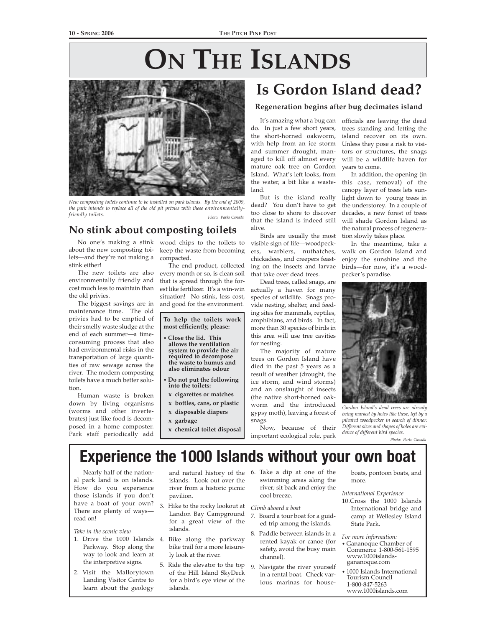# **ON THE ISLANDS**



*New composting toilets continue to be installed on park islands. By the end of 2009, the park intends to replace all of the old pit privies with these environmentallyfriendly toilets. Photo: Parks Canada*

## **No stink about composting toilets**

about the new composting toilets—and they're not making a stink either!

The new toilets are also environmentally friendly and cost much less to maintain than the old privies.

The biggest savings are in maintenance time. The old privies had to be emptied of their smelly waste sludge at the end of each summer—a timeconsuming process that also had environmental risks in the transportation of large quantities of raw sewage across the river. The modern composting toilets have a much better solution.

Human waste is broken down by living organisms (worms and other invertebrates) just like food is decomposed in a home composter. Park staff periodically add

No one's making a stink wood chips to the toilets to keep the waste from becoming compacted.

The end product, collected every month or so, is clean soil that is spread through the forest like fertilizer. It's a win-win situation! No stink, less cost, and good for the environment.

**To help the toilets work most efficiently, please:**

- **Close the lid. This allows the ventilation system to provide the air required to decompose the waste to humus and also eliminates odour**
- **Do not put the following into the toilets:**
- **x cigarettes or matches**
- **x bottles, cans, or plastic x disposable diapers**
- 
- **x garbage**
- **x chemical toilet disposal**

# **Is Gordon Island dead?**

### **Regeneration begins after bug decimates island**

It's amazing what a bug can do. In just a few short years, the short-horned oakworm, with help from an ice storm and summer drought, managed to kill off almost every mature oak tree on Gordon Island. What's left looks, from the water, a bit like a wasteland.

But is the island really dead? You don't have to get too close to shore to discover that the island is indeed still alive.

Birds are usually the most visible sign of life—woodpeckers, warblers, nuthatches, chickadees, and creepers feasting on the insects and larvae that take over dead trees.

Dead trees, called snags, are actually a haven for many species of wildlife. Snags provide nesting, shelter, and feeding sites for mammals, reptiles, amphibians, and birds. In fact, more than 30 species of birds in this area will use tree cavities for nesting.

The majority of mature trees on Gordon Island have died in the past 5 years as a result of weather (drought, the ice storm, and wind storms) and an onslaught of insects (the native short-horned oakworm and the introduced gypsy moth), leaving a forest of snags.

officials are leaving the dead trees standing and letting the island recover on its own. Unless they pose a risk to visitors or structures, the snags will be a wildlife haven for years to come.

In addition, the opening (in this case, removal) of the canopy layer of trees lets sunlight down to young trees in the understorey. In a couple of decades, a new forest of trees will shade Gordon Island as the natural process of regeneration slowly takes place.

In the meantime, take a walk on Gordon Island and enjoy the sunshine and the birds—for now, it's a woodpecker's paradise.



*Gordon Island's dead trees are already being marked by holes like these, left by a pileated woodpecker in search of dinner. Different sizes and shapes of holes are evidence of different bird species.*

*Photo: Parks Canada*

Now, because of their important ecological role, park

# **Experience the 1000 Islands without your own boat**

Nearly half of the national park land is on islands. How do you experience those islands if you don't have a boat of your own? 3. Hike to the rocky lookout at There are plenty of ways read on!

*Take in the scenic view*

- 1. Drive the 1000 Islands Parkway. Stop along the way to look and learn at the interpretive signs.
- 2. Visit the Mallorytown Landing Visitor Centre to learn about the geology

islands. Look out over the river from a historic picnic pavilion.

- Landon Bay Campground for a great view of the islands.
- 4. Bike along the parkway bike trail for a more leisurely look at the river.
- 5. Ride the elevator to the top of the Hill Island SkyDeck for a bird's eye view of the islands.
- and natural history of the 6. Take a dip at one of the swimming areas along the river; sit back and enjoy the cool breeze.

*Climb aboard a boat*

- 7. Board a tour boat for a guided trip among the islands.
- 8. Paddle between islands in a rented kayak or canoe (for safety, avoid the busy main channel).
- 9. Navigate the river yourself in a rental boat. Check various marinas for house-

boats, pontoon boats, and more.

#### *International Experience*

10.Cross the 1000 Islands International bridge and camp at Wellesley Island State Park.

*For more information:*

- Gananoque Chamber of Commerce 1-800-561-1595 www.1000islandsgananoque.com
- 1000 Islands International Tourism Council 1-800-847-5263 www.1000islands.com